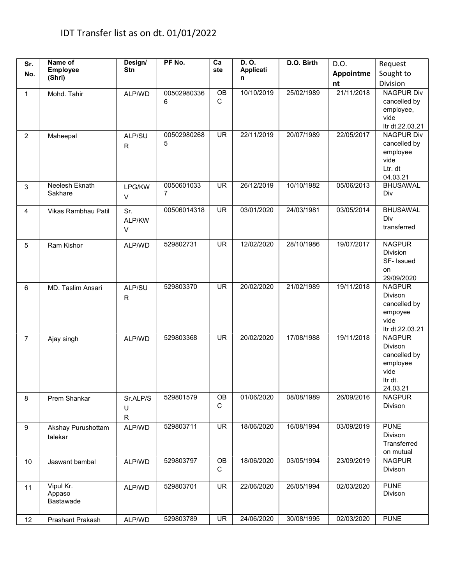| Sr.             | Name of<br><b>Employee</b>       | Design/<br>Stn          | PF No.                       | Ca<br>ste         | D. O.<br><b>Applicati</b> | D.O. Birth | D.O.       | Request                                                                             |
|-----------------|----------------------------------|-------------------------|------------------------------|-------------------|---------------------------|------------|------------|-------------------------------------------------------------------------------------|
| No.             | (Shri)                           |                         |                              |                   | n                         |            | Appointme  | Sought to                                                                           |
|                 |                                  |                         |                              |                   |                           |            | nt         | Division                                                                            |
| $\mathbf{1}$    | Mohd. Tahir                      | ALP/WD                  | 00502980336<br>6             | OB<br>$\mathsf C$ | 10/10/2019                | 25/02/1989 | 21/11/2018 | <b>NAGPUR Div</b><br>cancelled by<br>employee,<br>vide<br>Itr dt.22.03.21           |
| $\overline{2}$  | Maheepal                         | ALP/SU<br>$\mathsf{R}$  | 00502980268<br>5             | <b>UR</b>         | 22/11/2019                | 20/07/1989 | 22/05/2017 | <b>NAGPUR Div</b><br>cancelled by<br>employee<br>vide<br>Ltr. dt<br>04.03.21        |
| 3               | Neelesh Eknath<br>Sakhare        | LPG/KW<br>$\vee$        | 0050601033<br>$\overline{7}$ | <b>UR</b>         | 26/12/2019                | 10/10/1982 | 05/06/2013 | <b>BHUSAWAL</b><br>Div                                                              |
| 4               | Vikas Rambhau Patil              | Sr.<br>ALP/KW<br>$\vee$ | 00506014318                  | <b>UR</b>         | 03/01/2020                | 24/03/1981 | 03/05/2014 | <b>BHUSAWAL</b><br>Div<br>transferred                                               |
| $5\phantom{.0}$ | Ram Kishor                       | ALP/WD                  | 529802731                    | <b>UR</b>         | 12/02/2020                | 28/10/1986 | 19/07/2017 | <b>NAGPUR</b><br><b>Division</b><br>SF- Issued<br>on<br>29/09/2020                  |
| 6               | MD. Taslim Ansari                | ALP/SU<br>$\mathsf{R}$  | 529803370                    | <b>UR</b>         | 20/02/2020                | 21/02/1989 | 19/11/2018 | <b>NAGPUR</b><br>Divison<br>cancelled by<br>empoyee<br>vide<br>Itr dt.22.03.21      |
| $\overline{7}$  | Ajay singh                       | ALP/WD                  | 529803368                    | <b>UR</b>         | 20/02/2020                | 17/08/1988 | 19/11/2018 | <b>NAGPUR</b><br>Divison<br>cancelled by<br>employee<br>vide<br>Itr dt.<br>24.03.21 |
| 8               | Prem Shankar                     | Sr.ALP/S<br>U<br>R      | 529801579                    | OB<br>C           | 01/06/2020                | 08/08/1989 | 26/09/2016 | <b>NAGPUR</b><br>Divison                                                            |
| 9               | Akshay Purushottam<br>talekar    | ALP/WD                  | 529803711                    | UR                | 18/06/2020                | 16/08/1994 | 03/09/2019 | <b>PUNE</b><br>Divison<br>Transferred<br>on mutual                                  |
| 10              | Jaswant bambal                   | ALP/WD                  | 529803797                    | OB<br>C           | 18/06/2020                | 03/05/1994 | 23/09/2019 | <b>NAGPUR</b><br>Divison                                                            |
| 11              | Vipul Kr.<br>Appaso<br>Bastawade | ALP/WD                  | 529803701                    | UR                | 22/06/2020                | 26/05/1994 | 02/03/2020 | <b>PUNE</b><br>Divison                                                              |
| 12              | Prashant Prakash                 | ALP/WD                  | 529803789                    | <b>UR</b>         | 24/06/2020                | 30/08/1995 | 02/03/2020 | <b>PUNE</b>                                                                         |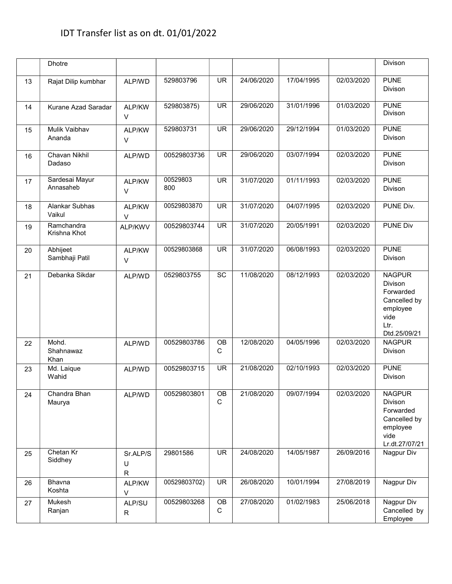|    | <b>Dhotre</b>               |                               |                 |           |            |            |            | Divison                                                                                           |
|----|-----------------------------|-------------------------------|-----------------|-----------|------------|------------|------------|---------------------------------------------------------------------------------------------------|
| 13 | Rajat Dilip kumbhar         | ALP/WD                        | 529803796       | <b>UR</b> | 24/06/2020 | 17/04/1995 | 02/03/2020 | <b>PUNE</b><br>Divison                                                                            |
| 14 | Kurane Azad Saradar         | ALP/KW<br>V                   | 529803875)      | <b>UR</b> | 29/06/2020 | 31/01/1996 | 01/03/2020 | <b>PUNE</b><br>Divison                                                                            |
| 15 | Mulik Vaibhav<br>Ananda     | ALP/KW<br>V                   | 529803731       | <b>UR</b> | 29/06/2020 | 29/12/1994 | 01/03/2020 | <b>PUNE</b><br><b>Divison</b>                                                                     |
| 16 | Chavan Nikhil<br>Dadaso     | ALP/WD                        | 00529803736     | <b>UR</b> | 29/06/2020 | 03/07/1994 | 02/03/2020 | <b>PUNE</b><br>Divison                                                                            |
| 17 | Sardesai Mayur<br>Annasaheb | ALP/KW<br>$\vee$              | 00529803<br>800 | <b>UR</b> | 31/07/2020 | 01/11/1993 | 02/03/2020 | <b>PUNE</b><br>Divison                                                                            |
| 18 | Alankar Subhas<br>Vaikul    | ALP/KW<br>V                   | 00529803870     | <b>UR</b> | 31/07/2020 | 04/07/1995 | 02/03/2020 | PUNE Div.                                                                                         |
| 19 | Ramchandra<br>Krishna Khot  | ALP/KWV                       | 00529803744     | <b>UR</b> | 31/07/2020 | 20/05/1991 | 02/03/2020 | <b>PUNE Div</b>                                                                                   |
| 20 | Abhijeet<br>Sambhaji Patil  | ALP/KW<br>$\vee$              | 00529803868     | <b>UR</b> | 31/07/2020 | 06/08/1993 | 02/03/2020 | <b>PUNE</b><br>Divison                                                                            |
| 21 | Debanka Sikdar              | ALP/WD                        | 0529803755      | SC        | 11/08/2020 | 08/12/1993 | 02/03/2020 | <b>NAGPUR</b><br>Divison<br>Forwarded<br>Cancelled by<br>employee<br>vide<br>Ltr.<br>Dtd.25/09/21 |
| 22 | Mohd.<br>Shahnawaz<br>Khan  | ALP/WD                        | 00529803786     | OB<br>C   | 12/08/2020 | 04/05/1996 | 02/03/2020 | <b>NAGPUR</b><br>Divison                                                                          |
| 23 | Md. Laique<br>Wahid         | ALP/WD                        | 00529803715     | <b>UR</b> | 21/08/2020 | 02/10/1993 | 02/03/2020 | <b>PUNE</b><br>Divison                                                                            |
| 24 | Chandra Bhan<br>Maurya      | ALP/WD                        | 00529803801     | OB<br>C   | 21/08/2020 | 09/07/1994 | 02/03/2020 | <b>NAGPUR</b><br>Divison<br>Forwarded<br>Cancelled by<br>employee<br>vide<br>Lr.dt.27/07/21       |
| 25 | Chetan Kr<br>Siddhey        | Sr.ALP/S<br>U<br>$\mathsf{R}$ | 29801586        | <b>UR</b> | 24/08/2020 | 14/05/1987 | 26/09/2016 | Nagpur Div                                                                                        |
| 26 | Bhavna<br>Koshta            | ALP/KW<br>$\vee$              | 00529803702)    | <b>UR</b> | 26/08/2020 | 10/01/1994 | 27/08/2019 | Nagpur Div                                                                                        |
| 27 | Mukesh<br>Ranjan            | ALP/SU<br>R                   | 00529803268     | OB<br>C   | 27/08/2020 | 01/02/1983 | 25/06/2018 | Nagpur Div<br>Cancelled by<br>Employee                                                            |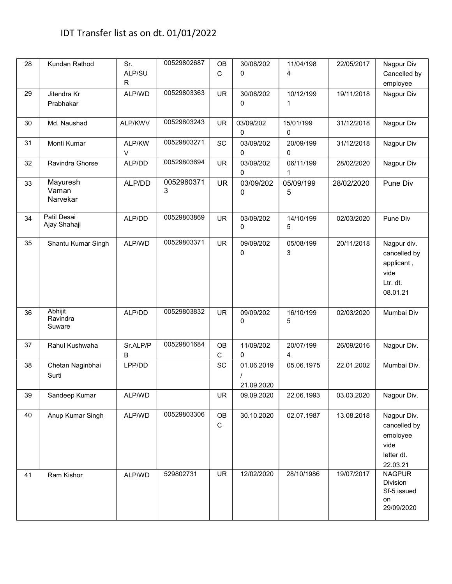| 28 | Kundan Rathod                 | Sr.<br>ALP/SU<br>$\mathsf{R}$ | 00529802687     | <b>OB</b><br>$\mathsf C$ | 30/08/202<br>0           | 11/04/198<br>4           | 22/05/2017 | Nagpur Div<br>Cancelled by<br>employee                                    |
|----|-------------------------------|-------------------------------|-----------------|--------------------------|--------------------------|--------------------------|------------|---------------------------------------------------------------------------|
| 29 | Jitendra Kr<br>Prabhakar      | ALP/WD                        | 00529803363     | <b>UR</b>                | 30/08/202<br>0           | 10/12/199<br>1           | 19/11/2018 | Nagpur Div                                                                |
| 30 | Md. Naushad                   | ALP/KWV                       | 00529803243     | <b>UR</b>                | 03/09/202<br>0           | 15/01/199<br>0           | 31/12/2018 | Nagpur Div                                                                |
| 31 | Monti Kumar                   | ALP/KW<br>$\vee$              | 00529803271     | SC                       | 03/09/202<br>0           | 20/09/199<br>$\mathbf 0$ | 31/12/2018 | Nagpur Div                                                                |
| 32 | Ravindra Ghorse               | ALP/DD                        | 00529803694     | <b>UR</b>                | 03/09/202<br>0           | 06/11/199<br>1           | 28/02/2020 | Nagpur Div                                                                |
| 33 | Mayuresh<br>Vaman<br>Narvekar | ALP/DD                        | 0052980371<br>3 | <b>UR</b>                | 03/09/202<br>0           | 05/09/199<br>5           | 28/02/2020 | Pune Div                                                                  |
| 34 | Patil Desai<br>Ajay Shahaji   | ALP/DD                        | 00529803869     | <b>UR</b>                | 03/09/202<br>0           | 14/10/199<br>5           | 02/03/2020 | Pune Div                                                                  |
| 35 | Shantu Kumar Singh            | ALP/WD                        | 00529803371     | <b>UR</b>                | 09/09/202<br>0           | 05/08/199<br>3           | 20/11/2018 | Nagpur div.<br>cancelled by<br>applicant,<br>vide<br>Ltr. dt.<br>08.01.21 |
| 36 | Abhijit<br>Ravindra<br>Suware | ALP/DD                        | 00529803832     | <b>UR</b>                | 09/09/202<br>0           | 16/10/199<br>5           | 02/03/2020 | Mumbai Div                                                                |
| 37 | Rahul Kushwaha                | Sr.ALP/P<br>B                 | 00529801684     | OB<br>$\mathsf C$        | 11/09/202<br>0           | 20/07/199<br>4           | 26/09/2016 | Nagpur Div.                                                               |
| 38 | Chetan Naginbhai<br>Surti     | LPP/DD                        |                 | SC                       | 01.06.2019<br>21.09.2020 | 05.06.1975               | 22.01.2002 | Mumbai Div.                                                               |
| 39 | Sandeep Kumar                 | ALP/WD                        |                 | UR                       | 09.09.2020               | 22.06.1993               | 03.03.2020 | Nagpur Div.                                                               |
| 40 | Anup Kumar Singh              | ALP/WD                        | 00529803306     | OB<br>$\mathsf C$        | 30.10.2020               | 02.07.1987               | 13.08.2018 | Nagpur Div.<br>cancelled by<br>emoloyee<br>vide<br>letter dt.<br>22.03.21 |
| 41 | Ram Kishor                    | ALP/WD                        | 529802731       | <b>UR</b>                | 12/02/2020               | 28/10/1986               | 19/07/2017 | <b>NAGPUR</b><br>Division<br>Sf-5 issued<br>on<br>29/09/2020              |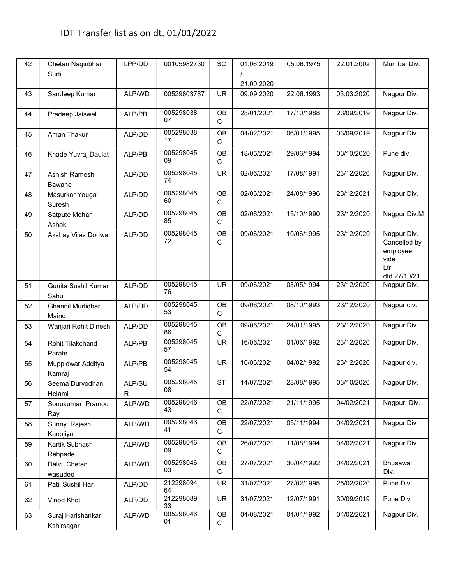| 42 | Chetan Naginbhai<br>Surti       | LPP/DD                 | 00105982730     | SC                | 01.06.2019<br>21.09.2020 | 05.06.1975 | 22.01.2002 | Mumbai Div.                                                            |
|----|---------------------------------|------------------------|-----------------|-------------------|--------------------------|------------|------------|------------------------------------------------------------------------|
| 43 | Sandeep Kumar                   | ALP/WD                 | 00529803787     | UR.               | 09.09.2020               | 22.06.1993 | 03.03.2020 | Nagpur Div.                                                            |
| 44 | Pradeep Jaiswal                 | ALP/PB                 | 005298038<br>07 | OB<br>$\mathsf C$ | 28/01/2021               | 17/10/1988 | 23/09/2019 | Nagpur Div.                                                            |
| 45 | Aman Thakur                     | ALP/DD                 | 005298038<br>17 | OB<br>$\mathbf C$ | 04/02/2021               | 06/01/1995 | 03/09/2019 | Nagpur Div.                                                            |
| 46 | Khade Yuvraj Daulat             | ALP/PB                 | 005298045<br>09 | OB<br>C           | 18/05/2021               | 29/06/1994 | 03/10/2020 | Pune div.                                                              |
| 47 | Ashish Ramesh<br><b>Bawane</b>  | ALP/DD                 | 005298045<br>74 | <b>UR</b>         | 02/06/2021               | 17/08/1991 | 23/12/2020 | Nagpur Div.                                                            |
| 48 | Masurkar Yougal<br>Suresh       | ALP/DD                 | 005298045<br>60 | OB<br>C           | 02/06/2021               | 24/08/1996 | 23/12/2021 | Nagpur Div.                                                            |
| 49 | Satpute Mohan<br>Ashok          | ALP/DD                 | 005298045<br>85 | OB<br>С           | 02/06/2021               | 15/10/1990 | 23/12/2020 | Nagpur Div.M                                                           |
| 50 | Akshay Vilas Doriwar            | ALP/DD                 | 005298045<br>72 | OB<br>$\mathsf C$ | 09/06/2021               | 10/06/1995 | 23/12/2020 | Nagpur Div.<br>Cancelled by<br>employee<br>vide<br>Ltr<br>dtd.27/10/21 |
| 51 | Gunita Sushil Kumar<br>Sahu     | ALP/DD                 | 005298045<br>76 | <b>UR</b>         | 09/06/2021               | 03/05/1994 | 23/12/2020 | Nagpur Div.                                                            |
| 52 | Ghannil Murlidhar<br>Maind      | ALP/DD                 | 005298045<br>53 | OB<br>$\mathbf C$ | 09/06/2021               | 08/10/1993 | 23/12/2020 | Nagpur div.                                                            |
| 53 | Wanjari Rohit Dinesh            | ALP/DD                 | 005298045<br>86 | OB<br>С           | 09/06/2021               | 24/01/1995 | 23/12/2020 | Nagpur Div.                                                            |
| 54 | Rohit Tilakchand<br>Parate      | ALP/PB                 | 005298045<br>57 | <b>UR</b>         | 16/06/2021               | 01/06/1992 | 23/12/2020 | Nagpur Div.                                                            |
| 55 | Muppidwar Additya<br>Kamraj     | ALP/PB                 | 005298045<br>54 | <b>UR</b>         | 16/06/2021               | 04/02/1992 | 23/12/2020 | Nagpur div.                                                            |
| 56 | Seema Duryodhan<br>Helami       | ALP/SU<br>$\mathsf{R}$ | 005298045<br>08 | <b>ST</b>         | 14/07/2021               | 23/08/1995 | 03/10/2020 | Nagpur Div.                                                            |
| 57 | Sonukumar Pramod<br>Ray         | ALP/WD                 | 005298046<br>43 | OB<br>$\mathbf C$ | 22/07/2021               | 21/11/1995 | 04/02/2021 | Nagpur Div.                                                            |
| 58 | Sunny Rajesh<br>Kanojiya        | ALP/WD                 | 005298046<br>41 | OB<br>C           | 22/07/2021               | 05/11/1994 | 04/02/2021 | Nagpur Div                                                             |
| 59 | Kartik Subhash<br>Rehpade       | ALP/WD                 | 005298046<br>09 | OB<br>C           | 26/07/2021               | 11/08/1994 | 04/02/2021 | Nagpur Div.                                                            |
| 60 | Dalvi Chetan<br>wasudeo         | ALP/WD                 | 005298046<br>03 | OB<br>C           | 27/07/2021               | 30/04/1992 | 04/02/2021 | Bhusawal<br>Div.                                                       |
| 61 | Patil Sushil Hari               | ALP/DD                 | 212298094<br>64 | <b>UR</b>         | 31/07/2021               | 27/02/1995 | 25/02/2020 | Pune Div.                                                              |
| 62 | Vinod Khot                      | ALP/DD                 | 212298089<br>33 | UR                | 31/07/2021               | 12/07/1991 | 30/09/2019 | Pune Div.                                                              |
| 63 | Suraj Harishankar<br>Kshirsagar | ALP/WD                 | 005298046<br>01 | OB<br>C           | 04/08/2021               | 04/04/1992 | 04/02/2021 | Nagpur Div.                                                            |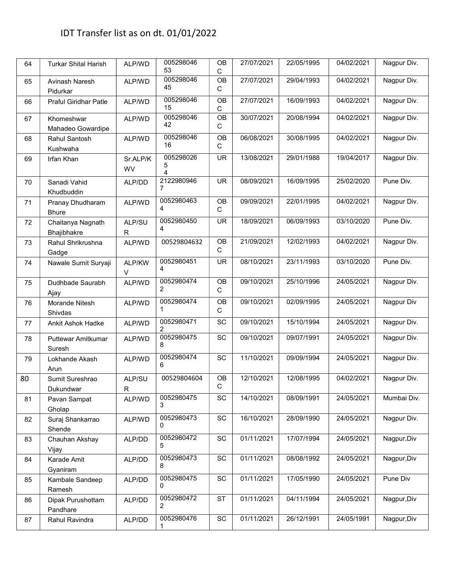| 64 | <b>Turkar Shital Harish</b>      | ALP/WD         | 005298046<br>53     | <b>OB</b><br>$\mathsf C$ | 27/07/2021 | 22/05/1995 | 04/02/2021 | Nagpur Div. |
|----|----------------------------------|----------------|---------------------|--------------------------|------------|------------|------------|-------------|
| 65 | Avinash Naresh<br>Pidurkar       | ALP/WD         | 005298046<br>45     | OB<br>C                  | 27/07/2021 | 29/04/1993 | 04/02/2021 | Nagpur Div. |
| 66 | <b>Praful Giridhar Patle</b>     | ALP/WD         | 005298046<br>15     | <b>OB</b><br>$\mathbf C$ | 27/07/2021 | 16/09/1993 | 04/02/2021 | Nagpur Div. |
| 67 | Khomeshwar<br>Mahadeo Gowardipe  | ALP/WD         | 005298046<br>42     | OB<br>$\mathsf C$        | 30/07/2021 | 20/08/1994 | 04/02/2021 | Nagpur Div. |
| 68 | Rahul Santosh<br>Kushwaha        | ALP/WD         | 005298046<br>16     | OB<br>$\mathsf C$        | 06/08/2021 | 30/08/1995 | 04/02/2021 | Nagpur Div. |
| 69 | Irfan Khan                       | Sr.ALP/K<br>WV | 005298026<br>5<br>4 | <b>UR</b>                | 13/08/2021 | 29/01/1988 | 19/04/2017 | Nagpur Div. |
| 70 | Sanadi Vahid<br>Khudbuddin       | ALP/DD         | 2122980946<br>7     | <b>UR</b>                | 08/09/2021 | 16/09/1995 | 25/02/2020 | Pune Div.   |
| 71 | Pranay Dhudharam<br><b>Bhure</b> | ALP/WD         | 0052980463<br>4     | OB<br>C                  | 09/09/2021 | 22/01/1995 | 04/02/2021 | Nagpur Div. |
| 72 | Chaitanya Nagnath<br>Bhajibhakre | ALP/SU<br>R    | 0052980450<br>4     | <b>UR</b>                | 18/09/2021 | 06/09/1993 | 03/10/2020 | Pune Div.   |
| 73 | Rahul Shrikrushna<br>Gadge       | ALP/WD         | 00529804632         | OB<br>C                  | 21/09/2021 | 12/02/1993 | 04/02/2021 | Nagpur Div. |
| 74 | Nawale Sumit Suryaji             | ALP/KW<br>V    | 0052980451<br>4     | <b>UR</b>                | 08/10/2021 | 23/11/1993 | 03/10/2020 | Pune Div.   |
| 75 | Dudhbade Saurabh<br>Ajay         | ALP/WD         | 0052980474<br>2     | <b>OB</b><br>$\mathsf C$ | 09/10/2021 | 25/10/1996 | 24/05/2021 | Nagpur Div. |
| 76 | Morande Nitesh<br>Shivdas        | ALP/WD         | 0052980474<br>1     | OB<br>C                  | 09/10/2021 | 02/09/1995 | 24/05/2021 | Nagpur Div  |
| 77 | Ankit Ashok Hadke                | ALP/WD         | 0052980471<br>2     | SC                       | 09/10/2021 | 15/10/1994 | 24/05/2021 | Nagpur Div. |
| 78 | Puttewar Amitkumar<br>Suresh     | ALP/WD         | 0052980475<br>8     | SC                       | 09/10/2021 | 09/07/1991 | 24/05/2021 | Nagpur Div. |
| 79 | Lokhande Akash<br>Arun           | ALP/WD         | 0052980474<br>6     | SC                       | 11/10/2021 | 09/09/1994 | 24/05/2021 | Nagpur Div. |
| 80 | Sumit Sureshrao<br>Dukundwar     | ALP/SU<br>R    | 00529804604         | OB<br>$\mathsf{C}$       | 12/10/2021 | 12/08/1995 | 04/02/2021 | Nagpur Div. |
| 81 | Pavan Sampat<br>Gholap           | ALP/WD         | 0052980475<br>3     | SC                       | 14/10/2021 | 08/09/1991 | 24/05/2021 | Mumbai Div. |
| 82 | Suraj Shankarrao<br>Shende       | ALP/WD         | 0052980473<br>0     | SC                       | 16/10/2021 | 28/09/1990 | 24/05/2021 | Nagpur Div. |
| 83 | Chauhan Akshay<br>Vijay          | ALP/DD         | 0052980472<br>5     | SC                       | 01/11/2021 | 17/07/1994 | 24/05/2021 | Nagpur, Div |
| 84 | Karade Amit<br>Gyaniram          | ALP/DD         | 0052980473<br>8     | SC                       | 01/11/2021 | 08/08/1992 | 24/05/2021 | Nagpur, Div |
| 85 | Kambale Sandeep<br>Ramesh        | ALP/DD         | 0052980475<br>0     | SC                       | 01/11/2021 | 17/05/1990 | 24/05/2021 | Pune Div    |
| 86 | Dipak Purushottam<br>Pandhare    | ALP/DD         | 0052980472<br>2     | <b>ST</b>                | 01/11/2021 | 04/11/1994 | 24/05/2021 | Nagpur, Div |
| 87 | Rahul Ravindra                   | ALP/DD         | 0052980476<br>1     | SC                       | 01/11/2021 | 26/12/1991 | 24/05/1991 | Nagpur, Div |